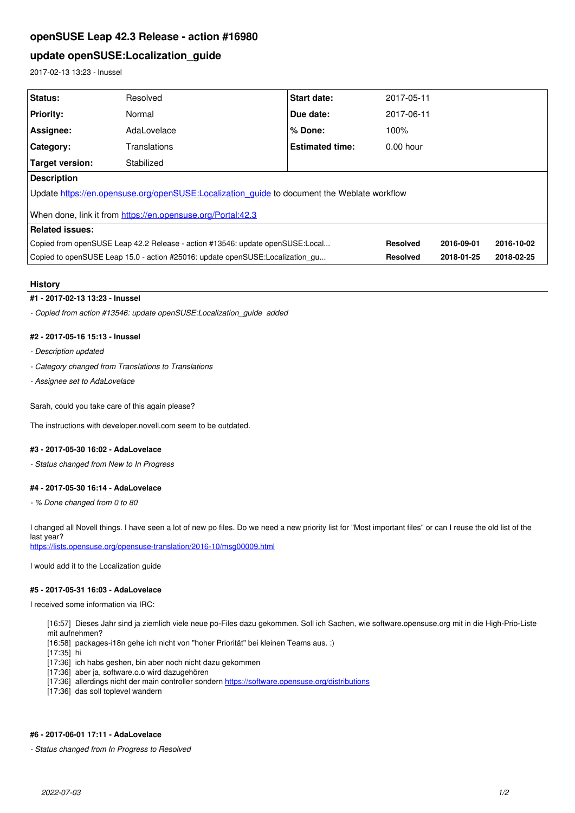# **openSUSE Leap 42.3 Release - action #16980**

# **update openSUSE:Localization\_guide**

2017-02-13 13:23 - lnussel

| Status:                                                                                     | Resolved     | <b>Start date:</b>     | 2017-05-11      |            |            |
|---------------------------------------------------------------------------------------------|--------------|------------------------|-----------------|------------|------------|
| <b>Priority:</b>                                                                            | Normal       | Due date:              | 2017-06-11      |            |            |
| Assignee:                                                                                   | AdaLovelace  | % Done:                | 100%            |            |            |
| <b>Category:</b>                                                                            | Translations | <b>Estimated time:</b> | $0.00$ hour     |            |            |
| <b>Target version:</b>                                                                      | Stabilized   |                        |                 |            |            |
| <b>Description</b>                                                                          |              |                        |                 |            |            |
| Update https://en.opensuse.org/openSUSE:Localization quide to document the Weblate workflow |              |                        |                 |            |            |
| When done, link it from https://en.opensuse.org/Portal:42.3                                 |              |                        |                 |            |            |
| <b>Related issues:</b>                                                                      |              |                        |                 |            |            |
| Copied from openSUSE Leap 42.2 Release - action #13546: update openSUSE:Local               |              |                        | <b>Resolved</b> | 2016-09-01 | 2016-10-02 |
| Copied to openSUSE Leap 15.0 - action #25016: update openSUSE:Localization qu               |              |                        | <b>Resolved</b> | 2018-01-25 | 2018-02-25 |

#### **History**

#### **#1 - 2017-02-13 13:23 - lnussel**

*- Copied from action #13546: update openSUSE:Localization\_guide added*

### **#2 - 2017-05-16 15:13 - lnussel**

- *Description updated*
- *Category changed from Translations to Translations*
- *Assignee set to AdaLovelace*

Sarah, could you take care of this again please?

The instructions with developer.novell.com seem to be outdated.

### **#3 - 2017-05-30 16:02 - AdaLovelace**

*- Status changed from New to In Progress*

### **#4 - 2017-05-30 16:14 - AdaLovelace**

*- % Done changed from 0 to 80*

I changed all Novell things. I have seen a lot of new po files. Do we need a new priority list for "Most important files" or can I reuse the old list of the last year?

<https://lists.opensuse.org/opensuse-translation/2016-10/msg00009.html>

I would add it to the Localization guide

### **#5 - 2017-05-31 16:03 - AdaLovelace**

I received some information via IRC:

[16:57] Dieses Jahr sind ja ziemlich viele neue po-Files dazu gekommen. Soll ich Sachen, wie software.opensuse.org mit in die High-Prio-Liste mit aufnehmen?

[16:58] packages-i18n gehe ich nicht von "hoher Priorität" bei kleinen Teams aus. :)

[17:35] hi

- [17:36] ich habs geshen, bin aber noch nicht dazu gekommen
- [17:36] aber ja, software.o.o wird dazugehören
- [17:36] allerdings nicht der main controller sondern<https://software.opensuse.org/distributions>

[17:36] das soll toplevel wandern

### **#6 - 2017-06-01 17:11 - AdaLovelace**

*- Status changed from In Progress to Resolved*